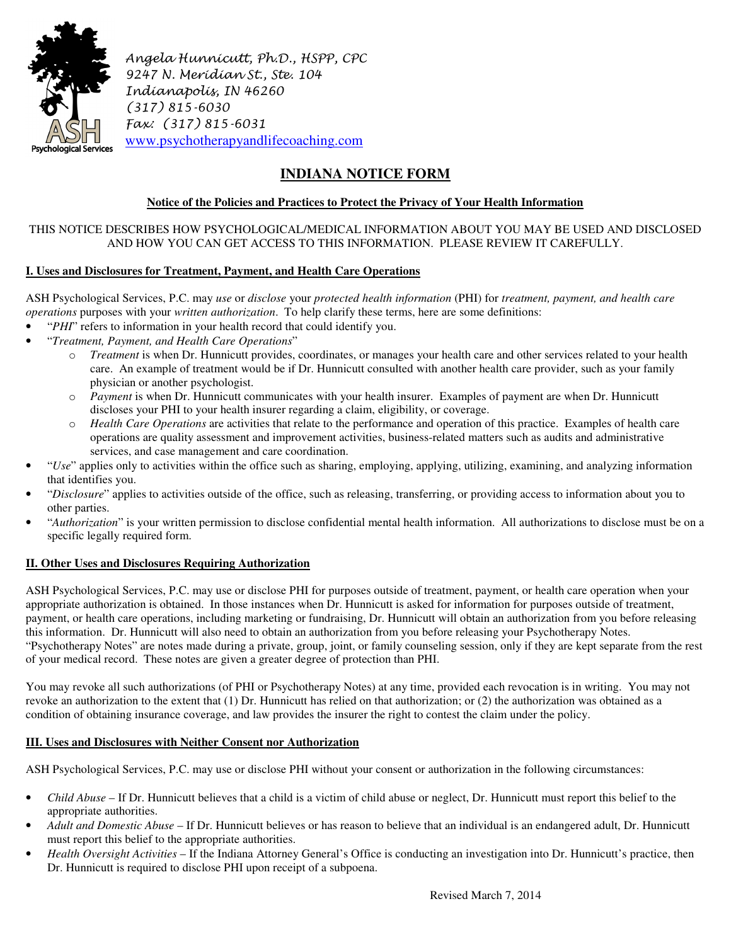

Angela Hunnicutt, Ph.D., HSPP, CPC 9247 N. Meridian St., Ste. 104 Indianapolis, IN 46260 (317) 815-6030 Fax: (317) 815-6031 www.psychotherapyandlifecoaching.com

# **INDIANA NOTICE FORM**

## **Notice of the Policies and Practices to Protect the Privacy of Your Health Information**

### THIS NOTICE DESCRIBES HOW PSYCHOLOGICAL/MEDICAL INFORMATION ABOUT YOU MAY BE USED AND DISCLOSED AND HOW YOU CAN GET ACCESS TO THIS INFORMATION. PLEASE REVIEW IT CAREFULLY.

## **I. Uses and Disclosures for Treatment, Payment, and Health Care Operations**

ASH Psychological Services, P.C. may *use* or *disclose* your *protected health information* (PHI) for *treatment, payment, and health care operations* purposes with your *written authorization*. To help clarify these terms, here are some definitions:

- "*PHI*" refers to information in your health record that could identify you.
- "*Treatment, Payment, and Health Care Operations*"
	- o *Treatment* is when Dr. Hunnicutt provides, coordinates, or manages your health care and other services related to your health care. An example of treatment would be if Dr. Hunnicutt consulted with another health care provider, such as your family physician or another psychologist.
	- o *Payment* is when Dr. Hunnicutt communicates with your health insurer. Examples of payment are when Dr. Hunnicutt discloses your PHI to your health insurer regarding a claim, eligibility, or coverage.
	- o *Health Care Operations* are activities that relate to the performance and operation of this practice. Examples of health care operations are quality assessment and improvement activities, business-related matters such as audits and administrative services, and case management and care coordination.
- "*Use*" applies only to activities within the office such as sharing, employing, applying, utilizing, examining, and analyzing information that identifies you.
- "*Disclosure*" applies to activities outside of the office, such as releasing, transferring, or providing access to information about you to other parties.
- "*Authorization*" is your written permission to disclose confidential mental health information. All authorizations to disclose must be on a specific legally required form.

#### **II. Other Uses and Disclosures Requiring Authorization**

ASH Psychological Services, P.C. may use or disclose PHI for purposes outside of treatment, payment, or health care operation when your appropriate authorization is obtained. In those instances when Dr. Hunnicutt is asked for information for purposes outside of treatment, payment, or health care operations, including marketing or fundraising, Dr. Hunnicutt will obtain an authorization from you before releasing this information. Dr. Hunnicutt will also need to obtain an authorization from you before releasing your Psychotherapy Notes. "Psychotherapy Notes" are notes made during a private, group, joint, or family counseling session, only if they are kept separate from the rest of your medical record. These notes are given a greater degree of protection than PHI.

You may revoke all such authorizations (of PHI or Psychotherapy Notes) at any time, provided each revocation is in writing. You may not revoke an authorization to the extent that (1) Dr. Hunnicutt has relied on that authorization; or (2) the authorization was obtained as a condition of obtaining insurance coverage, and law provides the insurer the right to contest the claim under the policy.

#### **III. Uses and Disclosures with Neither Consent nor Authorization**

ASH Psychological Services, P.C. may use or disclose PHI without your consent or authorization in the following circumstances:

- *Child Abuse* If Dr. Hunnicutt believes that a child is a victim of child abuse or neglect, Dr. Hunnicutt must report this belief to the appropriate authorities.
- *Adult and Domestic Abuse* If Dr. Hunnicutt believes or has reason to believe that an individual is an endangered adult, Dr. Hunnicutt must report this belief to the appropriate authorities.
- *Health Oversight Activities* If the Indiana Attorney General's Office is conducting an investigation into Dr. Hunnicutt's practice, then Dr. Hunnicutt is required to disclose PHI upon receipt of a subpoena.